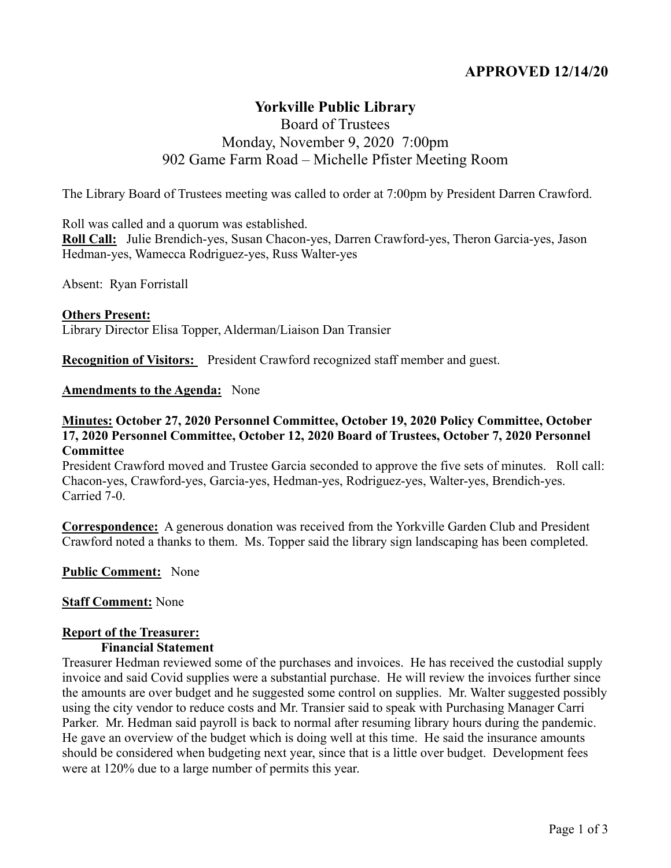# **APPROVED 12/14/20**

# **Yorkville Public Library**

# Board of Trustees Monday, November 9, 2020 7:00pm 902 Game Farm Road – Michelle Pfister Meeting Room

The Library Board of Trustees meeting was called to order at 7:00pm by President Darren Crawford.

Roll was called and a quorum was established.

**Roll Call:** Julie Brendich-yes, Susan Chacon-yes, Darren Crawford-yes, Theron Garcia-yes, Jason Hedman-yes, Wamecca Rodriguez-yes, Russ Walter-yes

Absent: Ryan Forristall

**Others Present:** Library Director Elisa Topper, Alderman/Liaison Dan Transier

**Recognition of Visitors:** President Crawford recognized staff member and guest.

#### **Amendments to the Agenda:** None

#### **Minutes: October 27, 2020 Personnel Committee, October 19, 2020 Policy Committee, October 17, 2020 Personnel Committee, October 12, 2020 Board of Trustees, October 7, 2020 Personnel Committee**

President Crawford moved and Trustee Garcia seconded to approve the five sets of minutes. Roll call: Chacon-yes, Crawford-yes, Garcia-yes, Hedman-yes, Rodriguez-yes, Walter-yes, Brendich-yes. Carried 7-0.

**Correspondence:** A generous donation was received from the Yorkville Garden Club and President Crawford noted a thanks to them. Ms. Topper said the library sign landscaping has been completed.

#### **Public Comment:** None

#### **Staff Comment:** None

#### **Report of the Treasurer:**

#### **Financial Statement**

Treasurer Hedman reviewed some of the purchases and invoices. He has received the custodial supply invoice and said Covid supplies were a substantial purchase. He will review the invoices further since the amounts are over budget and he suggested some control on supplies. Mr. Walter suggested possibly using the city vendor to reduce costs and Mr. Transier said to speak with Purchasing Manager Carri Parker. Mr. Hedman said payroll is back to normal after resuming library hours during the pandemic. He gave an overview of the budget which is doing well at this time. He said the insurance amounts should be considered when budgeting next year, since that is a little over budget. Development fees were at 120% due to a large number of permits this year.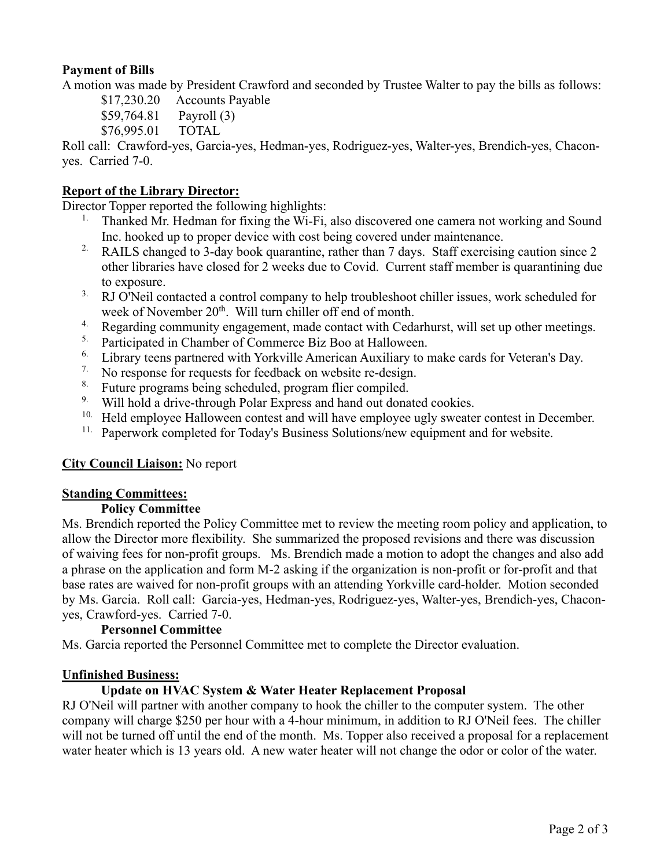# **Payment of Bills**

A motion was made by President Crawford and seconded by Trustee Walter to pay the bills as follows:

\$17,230.20 Accounts Payable

- \$59,764.81 Payroll (3)
- \$76,995.01 TOTAL

Roll call: Crawford-yes, Garcia-yes, Hedman-yes, Rodriguez-yes, Walter-yes, Brendich-yes, Chaconyes. Carried 7-0.

# **Report of the Library Director:**

Director Topper reported the following highlights:

- <sup>1.</sup> Thanked Mr. Hedman for fixing the Wi-Fi, also discovered one camera not working and Sound Inc. hooked up to proper device with cost being covered under maintenance.
- <sup>2.</sup> RAILS changed to 3-day book quarantine, rather than 7 days. Staff exercising caution since 2 other libraries have closed for 2 weeks due to Covid. Current staff member is quarantining due to exposure.
- <sup>3.</sup> RJ O'Neil contacted a control company to help troubleshoot chiller issues, work scheduled for week of November 20<sup>th</sup>. Will turn chiller off end of month.
- 4. Regarding community engagement, made contact with Cedarhurst, will set up other meetings.
- <sup>5.</sup> Participated in Chamber of Commerce Biz Boo at Halloween.
- <sup>6.</sup> Library teens partnered with Yorkville American Auxiliary to make cards for Veteran's Day.
- <sup>7.</sup> No response for requests for feedback on website re-design.
- 8. Future programs being scheduled, program flier compiled.
- <sup>9.</sup> Will hold a drive-through Polar Express and hand out donated cookies.
- <sup>10.</sup> Held employee Halloween contest and will have employee ugly sweater contest in December.
- <sup>11.</sup> Paperwork completed for Today's Business Solutions/new equipment and for website.

# **City Council Liaison:** No report

#### **Standing Committees:**

#### **Policy Committee**

Ms. Brendich reported the Policy Committee met to review the meeting room policy and application, to allow the Director more flexibility. She summarized the proposed revisions and there was discussion of waiving fees for non-profit groups. Ms. Brendich made a motion to adopt the changes and also add a phrase on the application and form M-2 asking if the organization is non-profit or for-profit and that base rates are waived for non-profit groups with an attending Yorkville card-holder. Motion seconded by Ms. Garcia. Roll call: Garcia-yes, Hedman-yes, Rodriguez-yes, Walter-yes, Brendich-yes, Chaconyes, Crawford-yes. Carried 7-0.

## **Personnel Committee**

Ms. Garcia reported the Personnel Committee met to complete the Director evaluation.

#### **Unfinished Business:**

# **Update on HVAC System & Water Heater Replacement Proposal**

RJ O'Neil will partner with another company to hook the chiller to the computer system. The other company will charge \$250 per hour with a 4-hour minimum, in addition to RJ O'Neil fees. The chiller will not be turned off until the end of the month. Ms. Topper also received a proposal for a replacement water heater which is 13 years old. A new water heater will not change the odor or color of the water.